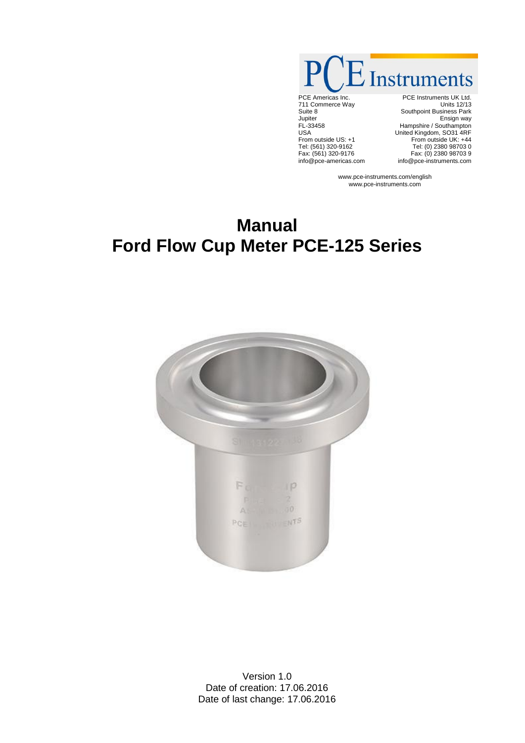$\dot{\mathcal{L}}$  Instruments

PCE Americas Inc. 711 Commerce Way Suite 8 Jupiter FL-33458 USA From outside US: +1 Tel: (561) 320-9162 Fax: (561) 320-9176 info@pce-americas.com

PCE Instruments UK Ltd. Units 12/13 Southpoint Business Park Ensign way Hampshire / Southampton United Kingdom, SO31 4RF From outside UK: +44 Tel: (0) 2380 98703 0 Fax: (0) 2380 98703 9 info@pce-instruments.com

www.pce-instruments.com/english www.pce-instruments.com

# **Manual Ford Flow Cup Meter PCE-125 Series**



Version 1.0 Date of creation: 17.06.2016 Date of last change: 17.06.2016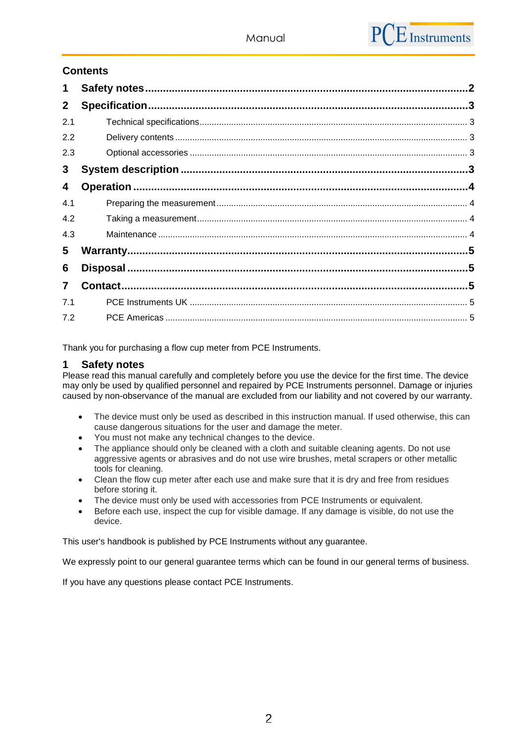# **Contents**

| 1              |  |  |  |  |  |
|----------------|--|--|--|--|--|
| $\mathbf{2}$   |  |  |  |  |  |
| 2.1            |  |  |  |  |  |
| 2.2            |  |  |  |  |  |
| 2.3            |  |  |  |  |  |
| 3              |  |  |  |  |  |
| 4              |  |  |  |  |  |
| 4.1            |  |  |  |  |  |
| 4.2            |  |  |  |  |  |
| 4.3            |  |  |  |  |  |
| 5              |  |  |  |  |  |
| 6              |  |  |  |  |  |
| $\overline{7}$ |  |  |  |  |  |
| 7.1            |  |  |  |  |  |
| 7.2            |  |  |  |  |  |

Thank you for purchasing a flow cup meter from PCE Instruments.

#### <span id="page-1-0"></span>**1 Safety notes**

Please read this manual carefully and completely before you use the device for the first time. The device may only be used by qualified personnel and repaired by PCE Instruments personnel. Damage or injuries caused by non-observance of the manual are excluded from our liability and not covered by our warranty.

- The device must only be used as described in this instruction manual. If used otherwise, this can cause dangerous situations for the user and damage the meter.
- You must not make any technical changes to the device.
- The appliance should only be cleaned with a cloth and suitable cleaning agents. Do not use aggressive agents or abrasives and do not use wire brushes, metal scrapers or other metallic tools for cleaning.
- Clean the flow cup meter after each use and make sure that it is dry and free from residues before storing it.
- The device must only be used with accessories from PCE Instruments or equivalent.
- Before each use, inspect the cup for visible damage. If any damage is visible, do not use the device.

This user's handbook is published by PCE Instruments without any guarantee.

We expressly point to our general guarantee terms which can be found in our general terms of business.

If you have any questions please contact PCE Instruments.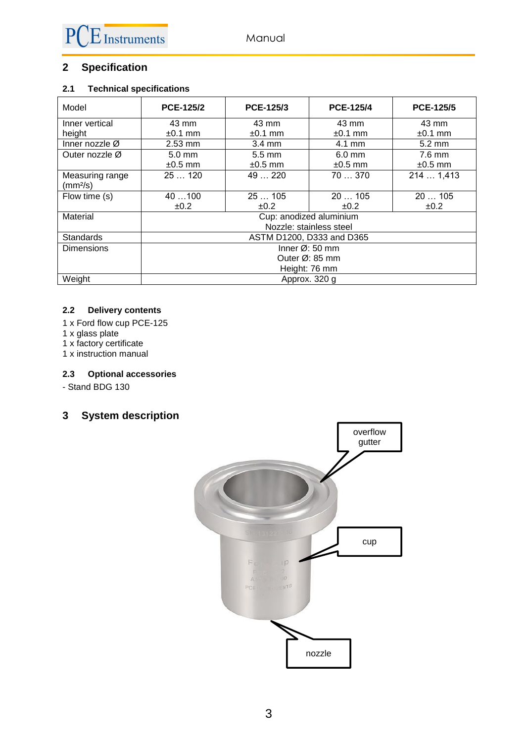# <span id="page-2-0"></span>**2 Specification**

#### <span id="page-2-1"></span>**2.1 Technical specifications**

| Model                | <b>PCE-125/2</b>            | PCE-125/3        | <b>PCE-125/4</b> | <b>PCE-125/5</b> |  |  |
|----------------------|-----------------------------|------------------|------------------|------------------|--|--|
| Inner vertical       | 43 mm                       | 43 mm            | 43 mm            | 43 mm            |  |  |
| height               | $±0.1$ mm                   | $±0.1$ mm        | $±0.1$ mm        | $±0.1$ mm        |  |  |
| Inner nozzle $Ø$     | $2.53$ mm                   | $3.4 \text{ mm}$ | $4.1 \text{ mm}$ | $5.2 \text{ mm}$ |  |  |
| Outer nozzle Ø       | $5.0 \text{ mm}$            | $5.5 \text{ mm}$ | $6.0$ mm         | $7.6$ mm         |  |  |
|                      | $±0.5$ mm                   | $\pm 0.5$ mm     | $±0.5$ mm        | $±0.5$ mm        |  |  |
| Measuring range      | 25120                       | 49  220          | 70370            | 214  1,413       |  |  |
| (mm <sup>2</sup> /s) |                             |                  |                  |                  |  |  |
| Flow time (s)        | 40100                       | 25105            | 20105            | 20  105          |  |  |
|                      | ±0.2                        | ±0.2             | ±0.2             | ±0.2             |  |  |
| Material             | Cup: anodized aluminium     |                  |                  |                  |  |  |
|                      | Nozzle: stainless steel     |                  |                  |                  |  |  |
| <b>Standards</b>     | ASTM D1200, D333 and D365   |                  |                  |                  |  |  |
| <b>Dimensions</b>    | Inner $\varnothing$ : 50 mm |                  |                  |                  |  |  |
|                      | Outer $Ø: 85$ mm            |                  |                  |                  |  |  |
|                      | Height: 76 mm               |                  |                  |                  |  |  |
| Weight               | Approx. 320 g               |                  |                  |                  |  |  |

#### <span id="page-2-2"></span>**2.2 Delivery contents**

- 1 x Ford flow cup PCE-125
- 1 x glass plate
- 1 x factory certificate
- 1 x instruction manual

#### <span id="page-2-3"></span>**2.3 Optional accessories**

- Stand BDG 130

# <span id="page-2-4"></span>**3 System description**

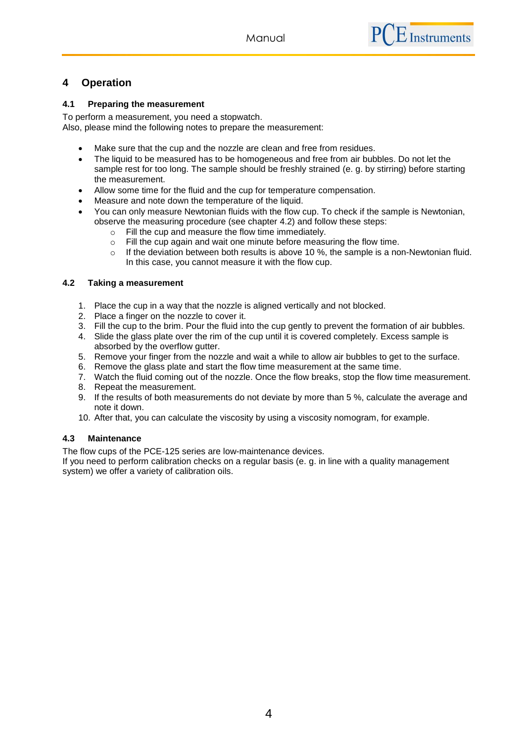## <span id="page-3-0"></span>**4 Operation**

#### <span id="page-3-1"></span>**4.1 Preparing the measurement**

To perform a measurement, you need a stopwatch. Also, please mind the following notes to prepare the measurement:

- Make sure that the cup and the nozzle are clean and free from residues.
- The liquid to be measured has to be homogeneous and free from air bubbles. Do not let the sample rest for too long. The sample should be freshly strained (e. g. by stirring) before starting the measurement.
- Allow some time for the fluid and the cup for temperature compensation.
- Measure and note down the temperature of the liquid.
- You can only measure Newtonian fluids with the flow cup. To check if the sample is Newtonian, observe the measuring procedure (see chapter 4.2) and follow these steps:
	- o Fill the cup and measure the flow time immediately.
	- o Fill the cup again and wait one minute before measuring the flow time.
	- $\circ$  If the deviation between both results is above 10 %, the sample is a non-Newtonian fluid. In this case, you cannot measure it with the flow cup.

#### <span id="page-3-2"></span>**4.2 Taking a measurement**

- 1. Place the cup in a way that the nozzle is aligned vertically and not blocked.
- 2. Place a finger on the nozzle to cover it.
- 3. Fill the cup to the brim. Pour the fluid into the cup gently to prevent the formation of air bubbles.
- 4. Slide the glass plate over the rim of the cup until it is covered completely. Excess sample is absorbed by the overflow gutter.
- 5. Remove your finger from the nozzle and wait a while to allow air bubbles to get to the surface.
- 6. Remove the glass plate and start the flow time measurement at the same time.
- 7. Watch the fluid coming out of the nozzle. Once the flow breaks, stop the flow time measurement.
- 8. Repeat the measurement.
- 9. If the results of both measurements do not deviate by more than 5 %, calculate the average and note it down.
- 10. After that, you can calculate the viscosity by using a viscosity nomogram, for example.

#### <span id="page-3-3"></span>**4.3 Maintenance**

The flow cups of the PCE-125 series are low-maintenance devices.

If you need to perform calibration checks on a regular basis (e. g. in line with a quality management system) we offer a variety of calibration oils.